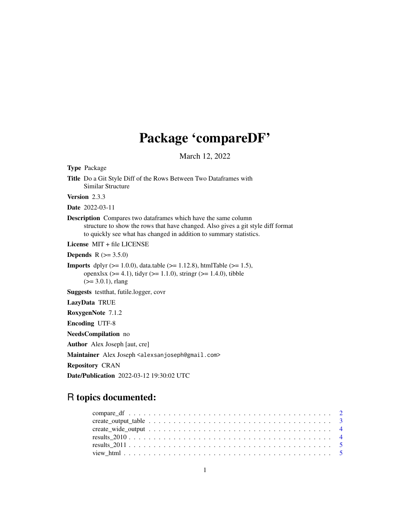## Package 'compareDF'

March 12, 2022

Type Package Title Do a Git Style Diff of the Rows Between Two Dataframes with Similar Structure Version 2.3.3 Date 2022-03-11 Description Compares two dataframes which have the same column structure to show the rows that have changed. Also gives a git style diff format to quickly see what has changed in addition to summary statistics. License MIT + file LICENSE **Depends** R  $(>= 3.5.0)$ **Imports** dplyr ( $>= 1.0.0$ ), data.table ( $>= 1.12.8$ ), htmlTable ( $>= 1.5$ ), openxlsx ( $>= 4.1$ ), tidyr ( $>= 1.1.0$ ), stringr ( $>= 1.4.0$ ), tibble  $(>= 3.0.1)$ , rlang Suggests testthat, futile.logger, covr LazyData TRUE RoxygenNote 7.1.2 Encoding UTF-8 NeedsCompilation no Author Alex Joseph [aut, cre] Maintainer Alex Joseph <alexsanjoseph@gmail.com> Repository CRAN Date/Publication 2022-03-12 19:30:02 UTC

### R topics documented: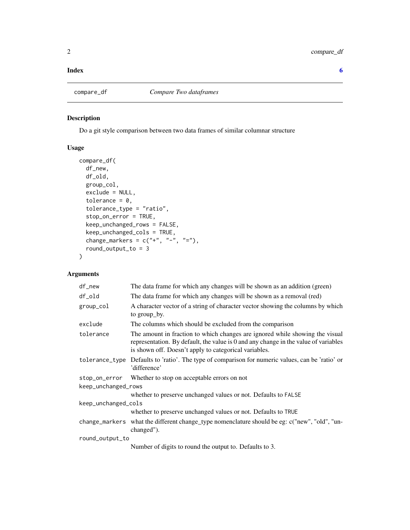#### <span id="page-1-0"></span>**Index** [6](#page-5-0) **6**

#### Description

Do a git style comparison between two data frames of similar columnar structure

#### Usage

```
compare_df(
 df_new,
 df_old,
 group_col,
 exclude = NULL,
  tolerance = 0,tolerance_type = "ratio",
  stop_on_error = TRUE,
 keep_unchanged_rows = FALSE,
 keep_unchanged_cols = TRUE,
 change_markers = c("+", "-", "="),round_output_to = 3
)
```
#### Arguments

| $df_new$            | The data frame for which any changes will be shown as an addition (green)                                                                                                                                                    |  |  |  |
|---------------------|------------------------------------------------------------------------------------------------------------------------------------------------------------------------------------------------------------------------------|--|--|--|
| df_old              | The data frame for which any changes will be shown as a removal (red)                                                                                                                                                        |  |  |  |
| group_col           | A character vector of a string of character vector showing the columns by which<br>to group_by.                                                                                                                              |  |  |  |
| exclude             | The columns which should be excluded from the comparison                                                                                                                                                                     |  |  |  |
| tolerance           | The amount in fraction to which changes are ignored while showing the visual<br>representation. By default, the value is 0 and any change in the value of variables<br>is shown off. Doesn't apply to categorical variables. |  |  |  |
| tolerance_type      | Defaults to 'ratio'. The type of comparison for numeric values, can be 'ratio' or<br>'difference'                                                                                                                            |  |  |  |
| stop_on_error       | Whether to stop on acceptable errors on not                                                                                                                                                                                  |  |  |  |
| keep_unchanged_rows |                                                                                                                                                                                                                              |  |  |  |
|                     | whether to preserve unchanged values or not. Defaults to FALSE                                                                                                                                                               |  |  |  |
| keep_unchanged_cols |                                                                                                                                                                                                                              |  |  |  |
|                     | whether to preserve unchanged values or not. Defaults to TRUE                                                                                                                                                                |  |  |  |
|                     | change_markers what the different change_type nomenclature should be eg: c("new", "old", "un-<br>changed").                                                                                                                  |  |  |  |
| round_output_to     |                                                                                                                                                                                                                              |  |  |  |
|                     | Number of digits to round the output to. Defaults to 3.                                                                                                                                                                      |  |  |  |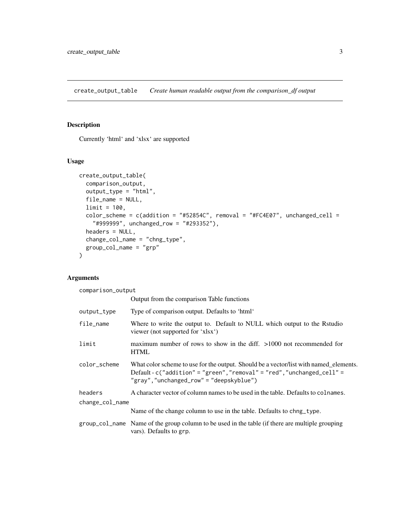<span id="page-2-0"></span>create\_output\_table *Create human readable output from the comparison\_df output*

#### Description

Currently 'html' and 'xlsx' are supported

#### Usage

```
create_output_table(
  comparison_output,
  output_type = "html",
  file_name = NULL,
  limit = 100,color_scheme = c(addition = "#52854C", removal = "#FC4E07", unchanged_cell =
    "#999999", unchanged_row = "#293352"),
  headers = NULL,
  change_col_name = "chng_type",
  group_col_name = "grp"
\mathcal{L}
```
#### Arguments

comparison\_output

|                 | Output from the comparison Table functions                                                                                                                                                                 |  |
|-----------------|------------------------------------------------------------------------------------------------------------------------------------------------------------------------------------------------------------|--|
| output_type     | Type of comparison output. Defaults to 'html'                                                                                                                                                              |  |
| file_name       | Where to write the output to. Default to NULL which output to the Rstudio<br>viewer (not supported for 'xlsx')                                                                                             |  |
| limit           | maximum number of rows to show in the diff. $>1000$ not recommended for<br><b>HTML</b>                                                                                                                     |  |
| color_scheme    | What color scheme to use for the output. Should be a vector/list with named_elements.<br>Default-c("addition" = "green", "removal" = "red", "unchanged_cell" =<br>"gray", "unchanged_row" = "deepskyblue") |  |
| headers         | A character vector of column names to be used in the table. Defaults to colnames.                                                                                                                          |  |
| change_col_name |                                                                                                                                                                                                            |  |
|                 | Name of the change column to use in the table. Defaults to chng_type.                                                                                                                                      |  |
|                 | group_col_name Name of the group column to be used in the table (if there are multiple grouping<br>vars). Defaults to grp.                                                                                 |  |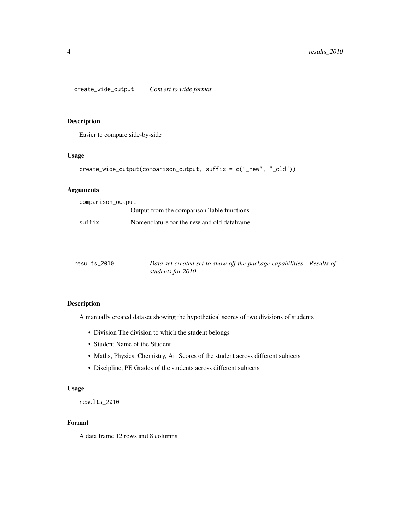#### <span id="page-3-0"></span>Description

Easier to compare side-by-side

#### Usage

```
create_wide_output(comparison_output, suffix = c("_new", "_old"))
```
#### Arguments

| comparison_output |                                            |  |  |
|-------------------|--------------------------------------------|--|--|
|                   | Output from the comparison Table functions |  |  |
| suffix            | Nomenclature for the new and old dataframe |  |  |

| results 2010 | Data set created set to show off the package capabilities - Results of |
|--------------|------------------------------------------------------------------------|
|              | students for 2010                                                      |

#### Description

A manually created dataset showing the hypothetical scores of two divisions of students

- Division The division to which the student belongs
- Student Name of the Student
- Maths, Physics, Chemistry, Art Scores of the student across different subjects
- Discipline, PE Grades of the students across different subjects

#### Usage

results\_2010

#### Format

A data frame 12 rows and 8 columns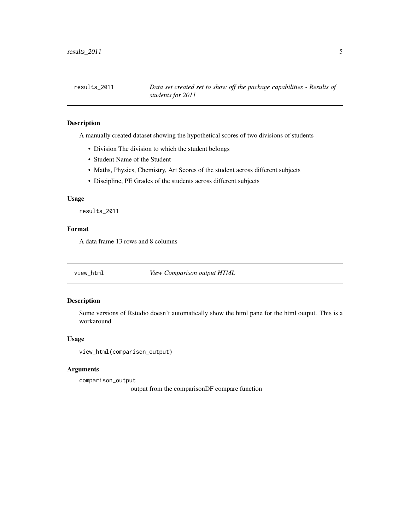<span id="page-4-0"></span>

#### Description

A manually created dataset showing the hypothetical scores of two divisions of students

- Division The division to which the student belongs
- Student Name of the Student
- Maths, Physics, Chemistry, Art Scores of the student across different subjects
- Discipline, PE Grades of the students across different subjects

#### Usage

results\_2011

#### Format

A data frame 13 rows and 8 columns

view\_html *View Comparison output HTML*

#### Description

Some versions of Rstudio doesn't automatically show the html pane for the html output. This is a workaround

#### Usage

```
view_html(comparison_output)
```
#### Arguments

comparison\_output

output from the comparisonDF compare function